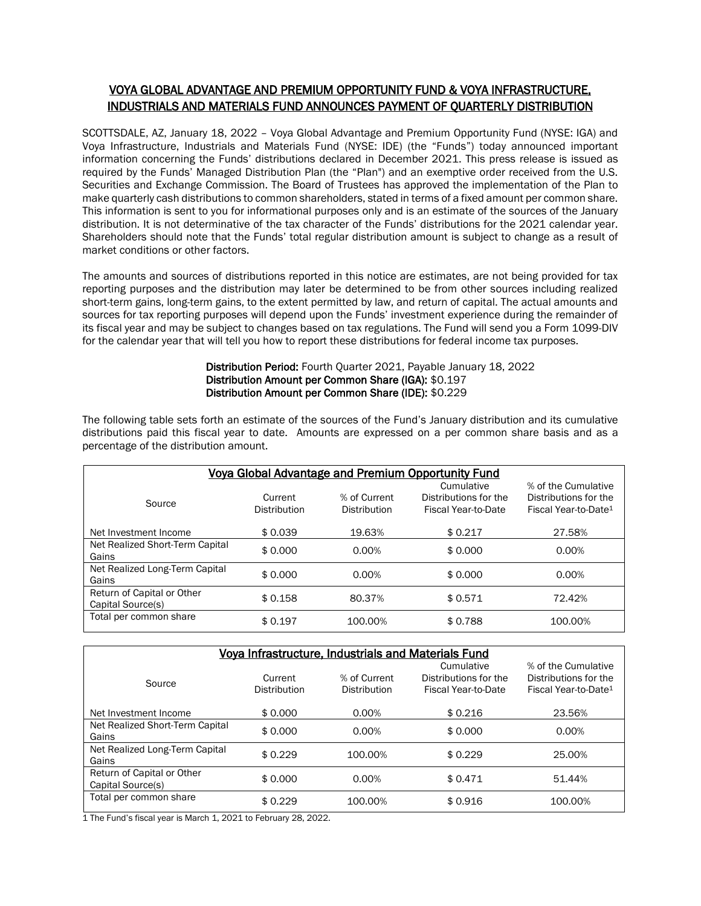# VOYA GLOBAL ADVANTAGE AND PREMIUM OPPORTUNITY FUND & VOYA INFRASTRUCTURE, INDUSTRIALS AND MATERIALS FUND ANNOUNCES PAYMENT OF QUARTERLY DISTRIBUTION

SCOTTSDALE, AZ, January 18, 2022 – Voya Global Advantage and Premium Opportunity Fund (NYSE: IGA) and Voya Infrastructure, Industrials and Materials Fund (NYSE: IDE) (the "Funds") today announced important information concerning the Funds' distributions declared in December 2021. This press release is issued as required by the Funds' Managed Distribution Plan (the "Plan") and an exemptive order received from the U.S. Securities and Exchange Commission. The Board of Trustees has approved the implementation of the Plan to make quarterly cash distributions to common shareholders, stated in terms of a fixed amount per common share. This information is sent to you for informational purposes only and is an estimate of the sources of the January distribution. It is not determinative of the tax character of the Funds' distributions for the 2021 calendar year. Shareholders should note that the Funds' total regular distribution amount is subject to change as a result of market conditions or other factors.

The amounts and sources of distributions reported in this notice are estimates, are not being provided for tax reporting purposes and the distribution may later be determined to be from other sources including realized short-term gains, long-term gains, to the extent permitted by law, and return of capital. The actual amounts and sources for tax reporting purposes will depend upon the Funds' investment experience during the remainder of its fiscal year and may be subject to changes based on tax regulations. The Fund will send you a Form 1099-DIV for the calendar year that will tell you how to report these distributions for federal income tax purposes.

## Distribution Period: Fourth Quarter 2021, Payable January 18, 2022 Distribution Amount per Common Share (IGA): \$0.197 Distribution Amount per Common Share (IDE): \$0.229

The following table sets forth an estimate of the sources of the Fund's January distribution and its cumulative distributions paid this fiscal year to date. Amounts are expressed on a per common share basis and as a percentage of the distribution amount.

| <b>Voya Global Advantage and Premium Opportunity Fund</b> |                                |                                     |                                                            |                                                                                  |  |  |  |
|-----------------------------------------------------------|--------------------------------|-------------------------------------|------------------------------------------------------------|----------------------------------------------------------------------------------|--|--|--|
| Source                                                    | Current<br><b>Distribution</b> | % of Current<br><b>Distribution</b> | Cumulative<br>Distributions for the<br>Fiscal Year-to-Date | % of the Cumulative<br>Distributions for the<br>Fiscal Year-to-Date <sup>1</sup> |  |  |  |
| Net Investment Income                                     | \$0.039                        | 19.63%                              | \$0.217                                                    | 27.58%                                                                           |  |  |  |
| Net Realized Short-Term Capital<br>Gains                  | \$0.000                        | 0.00%                               | \$0.000                                                    | $0.00\%$                                                                         |  |  |  |
| Net Realized Long-Term Capital<br>Gains                   | \$0.000                        | 0.00%                               | \$0.000                                                    | $0.00\%$                                                                         |  |  |  |
| Return of Capital or Other<br>Capital Source(s)           | \$0.158                        | 80.37%                              | \$0.571                                                    | 72.42%                                                                           |  |  |  |
| Total per common share                                    | \$0.197                        | 100.00%                             | \$0.788                                                    | 100.00%                                                                          |  |  |  |

| Voya Infrastructure, Industrials and Materials Fund |                                |                                     |                                                            |                                                                                  |  |  |  |
|-----------------------------------------------------|--------------------------------|-------------------------------------|------------------------------------------------------------|----------------------------------------------------------------------------------|--|--|--|
| Source                                              | Current<br><b>Distribution</b> | % of Current<br><b>Distribution</b> | Cumulative<br>Distributions for the<br>Fiscal Year-to-Date | % of the Cumulative<br>Distributions for the<br>Fiscal Year-to-Date <sup>1</sup> |  |  |  |
| Net Investment Income                               | \$0.000                        | 0.00%                               | \$0.216                                                    | 23.56%                                                                           |  |  |  |
| Net Realized Short-Term Capital<br>Gains            | \$0.000                        | 0.00%                               | \$0.000                                                    | $0.00\%$                                                                         |  |  |  |
| Net Realized Long-Term Capital<br>Gains             | \$0.229                        | 100.00%                             | \$0.229                                                    | 25.00%                                                                           |  |  |  |
| Return of Capital or Other<br>Capital Source(s)     | \$0.000                        | 0.00%                               | \$0.471                                                    | 51.44%                                                                           |  |  |  |
| Total per common share                              | \$0.229                        | 100.00%                             | \$0.916                                                    | 100.00%                                                                          |  |  |  |

1 The Fund's fiscal year is March 1, 2021 to February 28, 2022.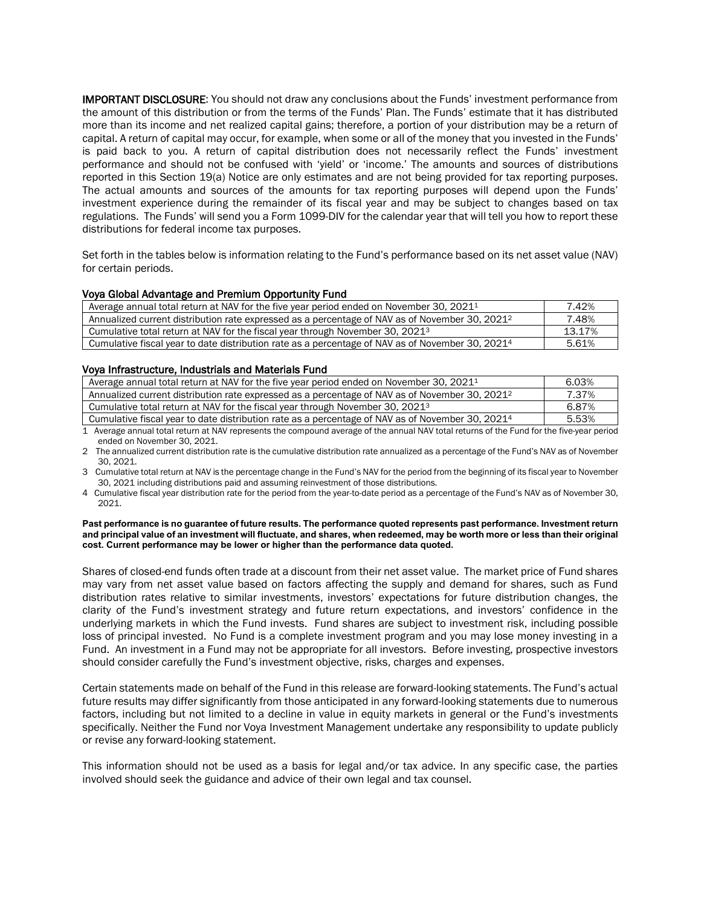IMPORTANT DISCLOSURE: You should not draw any conclusions about the Funds' investment performance from the amount of this distribution or from the terms of the Funds' Plan. The Funds' estimate that it has distributed more than its income and net realized capital gains; therefore, a portion of your distribution may be a return of capital. A return of capital may occur, for example, when some or all of the money that you invested in the Funds' is paid back to you. A return of capital distribution does not necessarily reflect the Funds' investment performance and should not be confused with 'yield' or 'income.' The amounts and sources of distributions reported in this Section 19(a) Notice are only estimates and are not being provided for tax reporting purposes. The actual amounts and sources of the amounts for tax reporting purposes will depend upon the Funds' investment experience during the remainder of its fiscal year and may be subject to changes based on tax regulations. The Funds' will send you a Form 1099-DIV for the calendar year that will tell you how to report these distributions for federal income tax purposes.

Set forth in the tables below is information relating to the Fund's performance based on its net asset value (NAV) for certain periods.

### Voya Global Advantage and Premium Opportunity Fund

| Average annual total return at NAV for the five year period ended on November 30, 2021 <sup>1</sup>          |  |  |
|--------------------------------------------------------------------------------------------------------------|--|--|
| Annualized current distribution rate expressed as a percentage of NAV as of November 30, 2021 <sup>2</sup>   |  |  |
| Cumulative total return at NAV for the fiscal year through November 30, 2021 <sup>3</sup>                    |  |  |
| Cumulative fiscal year to date distribution rate as a percentage of NAV as of November 30, 2021 <sup>4</sup> |  |  |

### Voya Infrastructure, Industrials and Materials Fund

| Average annual total return at NAV for the five year period ended on November 30, 2021 <sup>1</sup>          |  |  |
|--------------------------------------------------------------------------------------------------------------|--|--|
| Annualized current distribution rate expressed as a percentage of NAV as of November 30, 2021 <sup>2</sup>   |  |  |
| Cumulative total return at NAV for the fiscal year through November 30, 2021 <sup>3</sup>                    |  |  |
| Cumulative fiscal year to date distribution rate as a percentage of NAV as of November 30, 2021 <sup>4</sup> |  |  |

1 Average annual total return at NAV represents the compound average of the annual NAV total returns of the Fund for the five-year period ended on November 30, 2021.

2 The annualized current distribution rate is the cumulative distribution rate annualized as a percentage of the Fund's NAV as of November 30, 2021.

3 Cumulative total return at NAV is the percentage change in the Fund's NAV for the period from the beginning of its fiscal year to November 30, 2021 including distributions paid and assuming reinvestment of those distributions.

4 Cumulative fiscal year distribution rate for the period from the year-to-date period as a percentage of the Fund's NAV as of November 30, 2021.

#### **Past performance is no guarantee of future results. The performance quoted represents past performance. Investment return and principal value of an investment will fluctuate, and shares, when redeemed, may be worth more or less than their original cost. Current performance may be lower or higher than the performance data quoted.**

Shares of closed-end funds often trade at a discount from their net asset value. The market price of Fund shares may vary from net asset value based on factors affecting the supply and demand for shares, such as Fund distribution rates relative to similar investments, investors' expectations for future distribution changes, the clarity of the Fund's investment strategy and future return expectations, and investors' confidence in the underlying markets in which the Fund invests. Fund shares are subject to investment risk, including possible loss of principal invested. No Fund is a complete investment program and you may lose money investing in a Fund. An investment in a Fund may not be appropriate for all investors. Before investing, prospective investors should consider carefully the Fund's investment objective, risks, charges and expenses.

Certain statements made on behalf of the Fund in this release are forward-looking statements. The Fund's actual future results may differ significantly from those anticipated in any forward-looking statements due to numerous factors, including but not limited to a decline in value in equity markets in general or the Fund's investments specifically. Neither the Fund nor Voya Investment Management undertake any responsibility to update publicly or revise any forward-looking statement.

This information should not be used as a basis for legal and/or tax advice. In any specific case, the parties involved should seek the guidance and advice of their own legal and tax counsel.